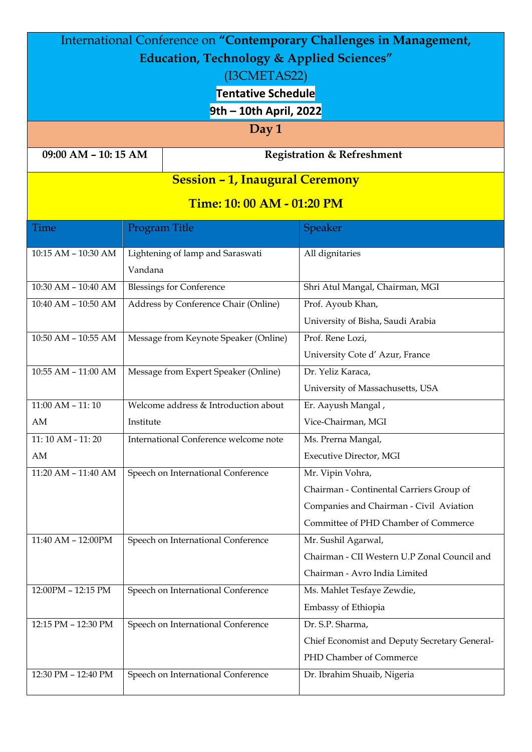| International Conference on "Contemporary Challenges in Management, |                                       |                                    |                                               |  |  |  |  |
|---------------------------------------------------------------------|---------------------------------------|------------------------------------|-----------------------------------------------|--|--|--|--|
| <b>Education, Technology &amp; Applied Sciences"</b>                |                                       |                                    |                                               |  |  |  |  |
| (I3CMETAS22)                                                        |                                       |                                    |                                               |  |  |  |  |
| <b>Tentative Schedule</b>                                           |                                       |                                    |                                               |  |  |  |  |
| 9th - 10th April, 2022                                              |                                       |                                    |                                               |  |  |  |  |
| Day 1                                                               |                                       |                                    |                                               |  |  |  |  |
| 09:00 AM - 10:15 AM<br><b>Registration &amp; Refreshment</b>        |                                       |                                    |                                               |  |  |  |  |
| <b>Session - 1, Inaugural Ceremony</b>                              |                                       |                                    |                                               |  |  |  |  |
| Time: 10: 00 AM - 01:20 PM                                          |                                       |                                    |                                               |  |  |  |  |
| Time                                                                | Program Title                         |                                    | <b>Speaker</b>                                |  |  |  |  |
| 10:15 AM - 10:30 AM                                                 |                                       | Lightening of lamp and Saraswati   | All dignitaries                               |  |  |  |  |
|                                                                     | Vandana                               |                                    |                                               |  |  |  |  |
| 10:30 AM - 10:40 AM                                                 | <b>Blessings for Conference</b>       |                                    | Shri Atul Mangal, Chairman, MGI               |  |  |  |  |
| 10:40 AM - 10:50 AM                                                 | Address by Conference Chair (Online)  |                                    | Prof. Ayoub Khan,                             |  |  |  |  |
|                                                                     |                                       |                                    | University of Bisha, Saudi Arabia             |  |  |  |  |
| $10:50$ AM - $10:55$ AM                                             | Message from Keynote Speaker (Online) |                                    | Prof. Rene Lozi,                              |  |  |  |  |
|                                                                     |                                       |                                    | University Cote d' Azur, France               |  |  |  |  |
| 10:55 AM - 11:00 AM                                                 | Message from Expert Speaker (Online)  |                                    | Dr. Yeliz Karaca,                             |  |  |  |  |
|                                                                     |                                       |                                    | University of Massachusetts, USA              |  |  |  |  |
| $11:00$ AM $-11:10$                                                 | Welcome address & Introduction about  |                                    | Er. Aayush Mangal,                            |  |  |  |  |
| AM                                                                  | Institute                             |                                    | Vice-Chairman, MGI                            |  |  |  |  |
| 11:10 AM - 11:20                                                    | International Conference welcome note |                                    | Ms. Prerna Mangal,                            |  |  |  |  |
| AM                                                                  |                                       |                                    | Executive Director, MGI                       |  |  |  |  |
| $11:20$ AM - $11:40$ AM                                             | Speech on International Conference    |                                    | Mr. Vipin Vohra,                              |  |  |  |  |
|                                                                     |                                       |                                    | Chairman - Continental Carriers Group of      |  |  |  |  |
|                                                                     |                                       |                                    | Companies and Chairman - Civil Aviation       |  |  |  |  |
|                                                                     |                                       |                                    | Committee of PHD Chamber of Commerce          |  |  |  |  |
| 11:40 AM - 12:00PM                                                  | Speech on International Conference    |                                    | Mr. Sushil Agarwal,                           |  |  |  |  |
|                                                                     |                                       |                                    | Chairman - CII Western U.P Zonal Council and  |  |  |  |  |
|                                                                     |                                       |                                    | Chairman - Avro India Limited                 |  |  |  |  |
| 12:00PM - 12:15 PM                                                  |                                       | Speech on International Conference | Ms. Mahlet Tesfaye Zewdie,                    |  |  |  |  |
|                                                                     |                                       |                                    | Embassy of Ethiopia                           |  |  |  |  |
| 12:15 PM - 12:30 PM                                                 | Speech on International Conference    |                                    | Dr. S.P. Sharma,                              |  |  |  |  |
|                                                                     |                                       |                                    | Chief Economist and Deputy Secretary General- |  |  |  |  |
|                                                                     |                                       |                                    | PHD Chamber of Commerce                       |  |  |  |  |
| 12:30 PM - 12:40 PM                                                 |                                       | Speech on International Conference | Dr. Ibrahim Shuaib, Nigeria                   |  |  |  |  |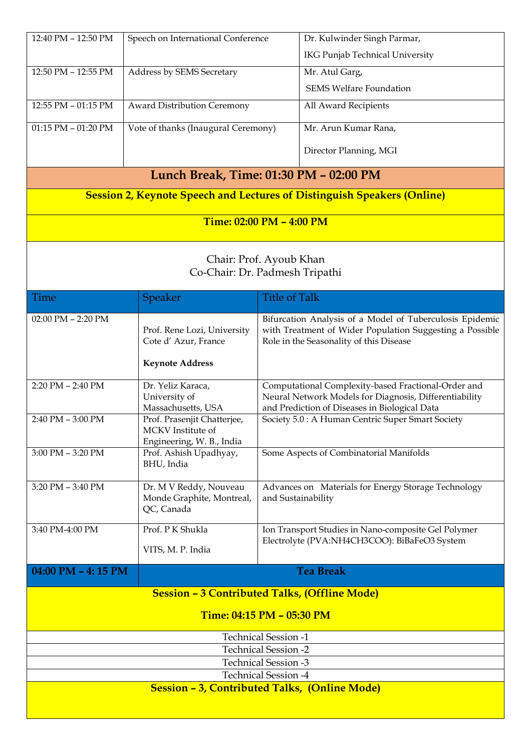| 12:40 PM - 12:50 PM                                                            | Speech on International Conference                                |                                                                                                    | Dr. Kulwinder Singh Parmar,                                                                         |  |  |  |
|--------------------------------------------------------------------------------|-------------------------------------------------------------------|----------------------------------------------------------------------------------------------------|-----------------------------------------------------------------------------------------------------|--|--|--|
|                                                                                |                                                                   |                                                                                                    | <b>IKG Punjab Technical University</b>                                                              |  |  |  |
| 12:50 PM - 12:55 PM                                                            | Address by SEMS Secretary                                         |                                                                                                    | Mr. Atul Garg,                                                                                      |  |  |  |
|                                                                                |                                                                   |                                                                                                    | <b>SEMS Welfare Foundation</b>                                                                      |  |  |  |
| 12:55 PM - 01:15 PM                                                            | Award Distribution Ceremony                                       |                                                                                                    | All Award Recipients                                                                                |  |  |  |
| 01:15 PM - 01:20 PM                                                            | Vote of thanks (Inaugural Ceremony)                               |                                                                                                    | Mr. Arun Kumar Rana,                                                                                |  |  |  |
|                                                                                |                                                                   |                                                                                                    | Director Planning, MGI                                                                              |  |  |  |
| Lunch Break, Time: 01:30 PM - 02:00 PM                                         |                                                                   |                                                                                                    |                                                                                                     |  |  |  |
| <b>Session 2, Keynote Speech and Lectures of Distinguish Speakers (Online)</b> |                                                                   |                                                                                                    |                                                                                                     |  |  |  |
| <b>Time: 02:00 PM - 4:00 PM</b>                                                |                                                                   |                                                                                                    |                                                                                                     |  |  |  |
|                                                                                |                                                                   |                                                                                                    |                                                                                                     |  |  |  |
| Chair: Prof. Ayoub Khan<br>Co-Chair: Dr. Padmesh Tripathi                      |                                                                   |                                                                                                    |                                                                                                     |  |  |  |
|                                                                                |                                                                   |                                                                                                    |                                                                                                     |  |  |  |
| Time                                                                           | Speaker                                                           | <b>Title of Talk</b>                                                                               |                                                                                                     |  |  |  |
| 02:00 PM - 2:20 PM                                                             |                                                                   | Bifurcation Analysis of a Model of Tuberculosis Epidemic                                           |                                                                                                     |  |  |  |
|                                                                                | Prof. Rene Lozi, University<br>Cote d'Azur, France                |                                                                                                    | with Treatment of Wider Population Suggesting a Possible<br>Role in the Seasonality of this Disease |  |  |  |
|                                                                                | <b>Keynote Address</b>                                            |                                                                                                    |                                                                                                     |  |  |  |
| $2:20$ PM $- 2:40$ PM                                                          | Dr. Yeliz Karaca,                                                 |                                                                                                    | Computational Complexity-based Fractional-Order and                                                 |  |  |  |
|                                                                                | University of                                                     |                                                                                                    | Neural Network Models for Diagnosis, Differentiability                                              |  |  |  |
| $2:40$ PM $-3:00$ PM                                                           | Massachusetts, USA<br>Prof. Prasenjit Chatterjee,                 | and Prediction of Diseases in Biological Data<br>Society 5.0 : A Human Centric Super Smart Society |                                                                                                     |  |  |  |
|                                                                                | MCKV Institute of<br>Engineering, W. B., India                    |                                                                                                    |                                                                                                     |  |  |  |
| 3:00 PM - 3:20 PM                                                              | Prof. Ashish Upadhyay,<br>BHU, India                              |                                                                                                    | Some Aspects of Combinatorial Manifolds                                                             |  |  |  |
| 3:20 PM - 3:40 PM                                                              | Dr. M V Reddy, Nouveau<br>Monde Graphite, Montreal,<br>QC, Canada | and Sustainability                                                                                 | Advances on Materials for Energy Storage Technology                                                 |  |  |  |
| 3:40 PM-4:00 PM                                                                | Prof. PK Shukla                                                   |                                                                                                    | Ion Transport Studies in Nano-composite Gel Polymer                                                 |  |  |  |
|                                                                                | VITS, M. P. India                                                 |                                                                                                    | Electrolyte (PVA:NH4CH3COO): BiBaFeO3 System                                                        |  |  |  |
| 04:00 PM - 4:15 PM                                                             |                                                                   |                                                                                                    | <b>Tea Break</b>                                                                                    |  |  |  |
|                                                                                | <b>Session - 3 Contributed Talks, (Offline Mode)</b>              |                                                                                                    |                                                                                                     |  |  |  |
| <b>Time: 04:15 PM - 05:30 PM</b>                                               |                                                                   |                                                                                                    |                                                                                                     |  |  |  |
| <b>Technical Session -1</b>                                                    |                                                                   |                                                                                                    |                                                                                                     |  |  |  |
| <b>Technical Session -2</b>                                                    |                                                                   |                                                                                                    |                                                                                                     |  |  |  |
| <b>Technical Session -3</b><br><b>Technical Session -4</b>                     |                                                                   |                                                                                                    |                                                                                                     |  |  |  |
| Session - 3, Contributed Talks, (Online Mode)                                  |                                                                   |                                                                                                    |                                                                                                     |  |  |  |
|                                                                                |                                                                   |                                                                                                    |                                                                                                     |  |  |  |